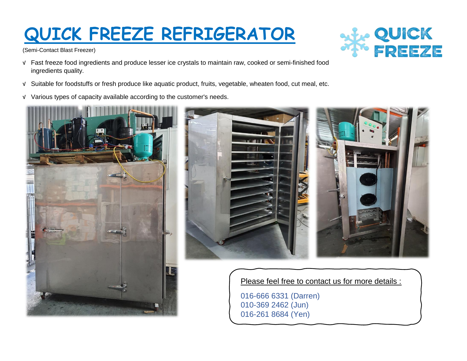# **QUICK FREEZE REFRIGERATOR**

(Semi-Contact Blast Freezer)

- √ Fast freeze food ingredients and produce lesser ice crystals to maintain raw, cooked or semi-finished food ingredients quality.
- √ Suitable for foodstuffs or fresh produce like aquatic product, fruits, vegetable, wheaten food, cut meal, etc.
- √ Various types of capacity available according to the customer's needs.



## Please feel free to contact us for more details :

016-666 6331 (Darren) 010-369 2462 (Jun) 016-261 8684 (Yen)

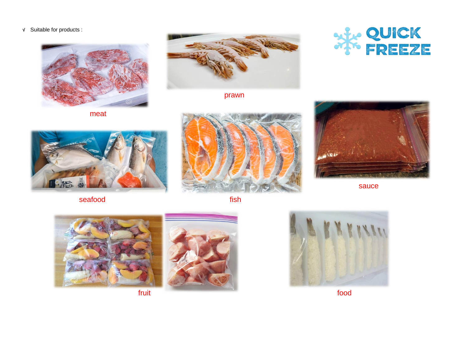√ Suitable for products :



meat



prawn





sauce



seafood **fish** fish







fruit food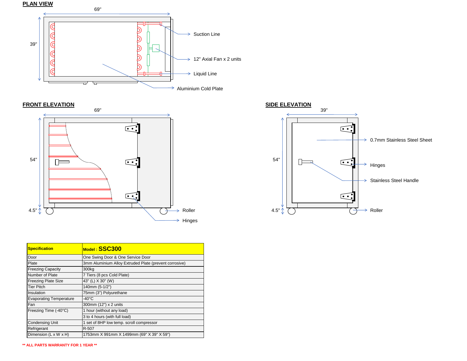



| <b>Specification</b>           | Model: SSC300                                          |
|--------------------------------|--------------------------------------------------------|
| Door                           | One Swing Door & One Service Door                      |
| Plate                          | 3mm Aluminium Alloy Extruded Plate (prevent corrosive) |
| <b>Freezing Capacity</b>       | 300kg                                                  |
| Number of Plate                | 7 Tiers (8 pcs Cold Plate)                             |
| <b>Freezing Plate Size</b>     | 43" (L) X 30" (W)                                      |
| Tier Pitch                     | 140mm (5-1/2")                                         |
| Insulation                     | 75mm (3") Polyurethane                                 |
| <b>Evaporating Temperature</b> | -40°C                                                  |
| Fan                            | 300mm (12") x 2 units                                  |
| Freezing Time (-40°C)          | 1 hour (without any load)                              |
|                                | 3 to 4 hours (with full load)                          |
| <b>Condensing Unit</b>         | 1 set of 8HP low temp. scroll compressor               |
| Refrigerant                    | R-507                                                  |
| Dimension (L x W x H)          | 1753mm X 991mm X 1499mm (69" X 39" X 59")              |

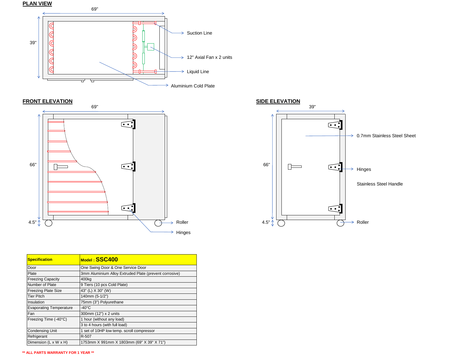



| <b>Specification</b>           | $_{\text{Model}}$ : SSC400                             |
|--------------------------------|--------------------------------------------------------|
| Door                           | One Swing Door & One Service Door                      |
| Plate                          | 3mm Aluminium Alloy Extruded Plate (prevent corrosive) |
| <b>Freezing Capacity</b>       | 400kg                                                  |
| Number of Plate                | 9 Tiers (10 pcs Cold Plate)                            |
| <b>Freezing Plate Size</b>     | 43" (L) X 30" (W)                                      |
| <b>Tier Pitch</b>              | 140mm (5-1/2")                                         |
| Insulation                     | 75mm (3") Polyurethane                                 |
| <b>Evaporating Temperature</b> | $-40^{\circ}$ C                                        |
| Fan                            | 300mm (12") x 2 units                                  |
| Freezing Time (-40°C)          | 1 hour (without any load)                              |
|                                | 3 to 4 hours (with full load)                          |
| <b>Condensing Unit</b>         | 1 set of 10HP low temp. scroll compressor              |
| Refrigerant                    | R-507                                                  |
| Dimension (L x W x H)          | 1753mm X 991mm X 1803mm (69" X 39" X 71")              |



#### **\*\* ALL PARTS WARRANTY FOR 1 YEAR \*\***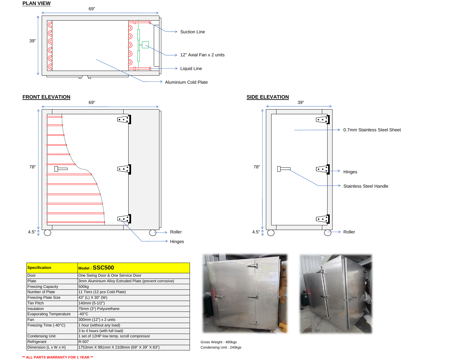



| <b>SIDE ELEVATION</b> | 39"                                                                       |
|-----------------------|---------------------------------------------------------------------------|
|                       | 0.7mm Stainless Steel Sheet<br>$\rightarrow$                              |
| 78"                   | $\ddot{\phantom{0}}$<br>Hinges<br>→<br><b>Stainless Steel Handle</b><br>→ |
| 4.5"                  | $\bullet\hspace{0.4mm}\bullet\hspace{0.4mm}$<br>Roller                    |

| <b>Specification</b>           | Model: SSC500                                          |
|--------------------------------|--------------------------------------------------------|
| Door                           | One Swing Door & One Service Door                      |
| Plate                          | 3mm Aluminium Alloy Extruded Plate (prevent corrosive) |
| <b>Freezing Capacity</b>       | 500 <sub>kg</sub>                                      |
| Number of Plate                | 11 Tiers (12 pcs Cold Plate)                           |
| <b>Freezing Plate Size</b>     | 43" (L) X 30" (W)                                      |
| <b>Tier Pitch</b>              | 140mm (5-1/2")                                         |
| Insulation                     | 75mm (3") Polyurethane                                 |
| <b>Evaporating Temperature</b> | $-40^{\circ}$ C                                        |
| Fan                            | 300mm (12") x 2 units                                  |
| Freezing Time (-40°C)          | 1 hour (without any load)                              |
|                                | 3 to 4 hours (with full load)                          |
| <b>Condensing Unit</b>         | 1 set of 12HP low temp. scroll compressor              |
| Refrigerant                    | R-507                                                  |
| Dimension (L x W x H)          | 1753mm X 991mm X 2108mm (69" X 39" X 83")              |





Gross Weight : 480kgs Condensing Unit : 240kgs

#### **\*\* ALL PARTS WARRANTY FOR 1 YEAR \*\***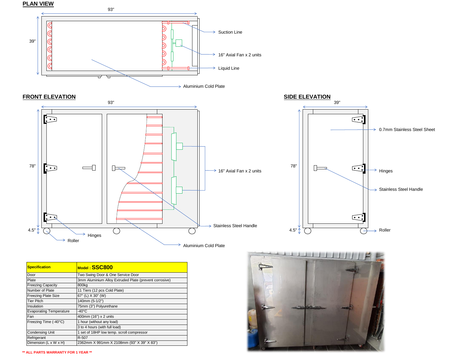







| <b>Specification</b>           | Model: SSC800                                          |
|--------------------------------|--------------------------------------------------------|
| Door                           | Two Swing Door & One Service Door                      |
| Plate                          | 3mm Aluminium Alloy Extruded Plate (prevent corrosive) |
| <b>Freezing Capacity</b>       | 800kg                                                  |
| Number of Plate                | 11 Tiers (12 pcs Cold Plate)                           |
| <b>Freezing Plate Size</b>     | 67" (L) X 30" (W)                                      |
| <b>Tier Pitch</b>              | 140mm (5-1/2")                                         |
| Insulation                     | 75mm (3") Polyurethane                                 |
| <b>Evaporating Temperature</b> | $-40^{\circ}$ C                                        |
| Fan                            | 400mm (16") x 2 units                                  |
| Freezing Time (-40°C)          | 1 hour (without any load)                              |
|                                | 3 to 4 hours (with full load)                          |
| <b>Condensing Unit</b>         | 1 set of 18HP low temp. scroll compressor              |
| Refrigerant                    | R-507                                                  |
| Dimension (L x W x H)          | 2362mm X 991mm X 2108mm (93" X 39" X 83")              |